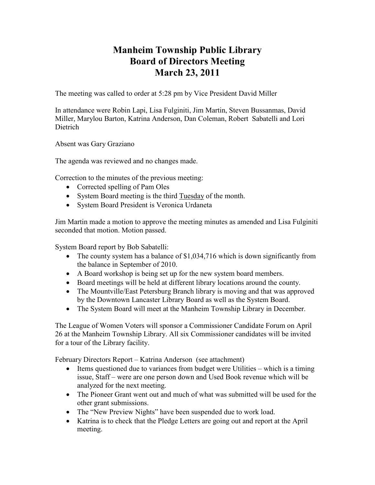## **Manheim Township Public Library Board of Directors Meeting March 23, 2011**

The meeting was called to order at 5:28 pm by Vice President David Miller

In attendance were Robin Lapi, Lisa Fulginiti, Jim Martin, Steven Bussanmas, David Miller, Marylou Barton, Katrina Anderson, Dan Coleman, Robert Sabatelli and Lori Dietrich

Absent was Gary Graziano

The agenda was reviewed and no changes made.

Correction to the minutes of the previous meeting:

- Corrected spelling of Pam Oles
- System Board meeting is the third Tuesday of the month.
- System Board President is Veronica Urdaneta

Jim Martin made a motion to approve the meeting minutes as amended and Lisa Fulginiti seconded that motion. Motion passed.

System Board report by Bob Sabatelli:

- The county system has a balance of \$1,034,716 which is down significantly from the balance in September of 2010.
- A Board workshop is being set up for the new system board members.
- Board meetings will be held at different library locations around the county.
- The Mountville/East Petersburg Branch library is moving and that was approved by the Downtown Lancaster Library Board as well as the System Board.
- The System Board will meet at the Manheim Township Library in December.

The League of Women Voters will sponsor a Commissioner Candidate Forum on April 26 at the Manheim Township Library. All six Commissioner candidates will be invited for a tour of the Library facility.

February Directors Report – Katrina Anderson (see attachment)

- Items questioned due to variances from budget were Utilities which is a timing issue, Staff – were are one person down and Used Book revenue which will be analyzed for the next meeting.
- The Pioneer Grant went out and much of what was submitted will be used for the other grant submissions.
- The "New Preview Nights" have been suspended due to work load.
- Katrina is to check that the Pledge Letters are going out and report at the April meeting.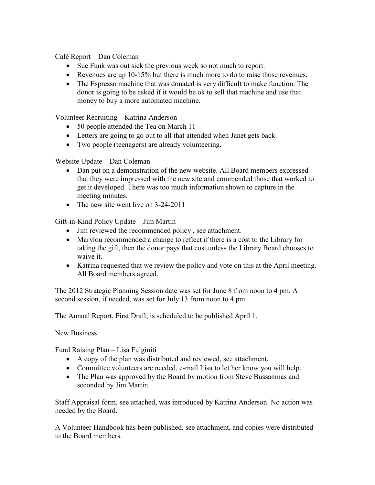Café Report – Dan Coleman

- Sue Funk was out sick the previous week so not much to report.
- Revenues are up 10-15% but there is much more to do to raise those revenues.
- The Espresso machine that was donated is very difficult to make function. The donor is going to be asked if it would be ok to sell that machine and use that money to buy a more automated machine.

Volunteer Recruiting – Katrina Anderson

- 50 people attended the Tea on March 11
- Letters are going to go out to all that attended when Janet gets back.
- Two people (teenagers) are already volunteering.

Website Update – Dan Coleman

- Dan put on a demonstration of the new website. All Board members expressed that they were impressed with the new site and commended those that worked to get it developed. There was too much information shown to capture in the meeting minutes.
- The new site went live on 3-24-2011

Gift-in-Kind Policy Update – Jim Martin

- Jim reviewed the recommended policy, see attachment.
- Marylou recommended a change to reflect if there is a cost to the Library for taking the gift, then the donor pays that cost unless the Library Board chooses to waive it.
- Katrina requested that we review the policy and vote on this at the April meeting. All Board members agreed.

The 2012 Strategic Planning Session date was set for June 8 from noon to 4 pm. A second session, if needed, was set for July 13 from noon to 4 pm.

The Annual Report, First Draft, is scheduled to be published April 1.

New Business:

Fund Raising Plan – Lisa Fulginiti

- A copy of the plan was distributed and reviewed, see attachment.
- Committee volunteers are needed, e-mail Lisa to let her know you will help.
- The Plan was approved by the Board by motion from Steve Bussanmas and seconded by Jim Martin.

Staff Appraisal form, see attached, was introduced by Katrina Anderson. No action was needed by the Board.

A Volunteer Handbook has been published, see attachment, and copies were distributed to the Board members.